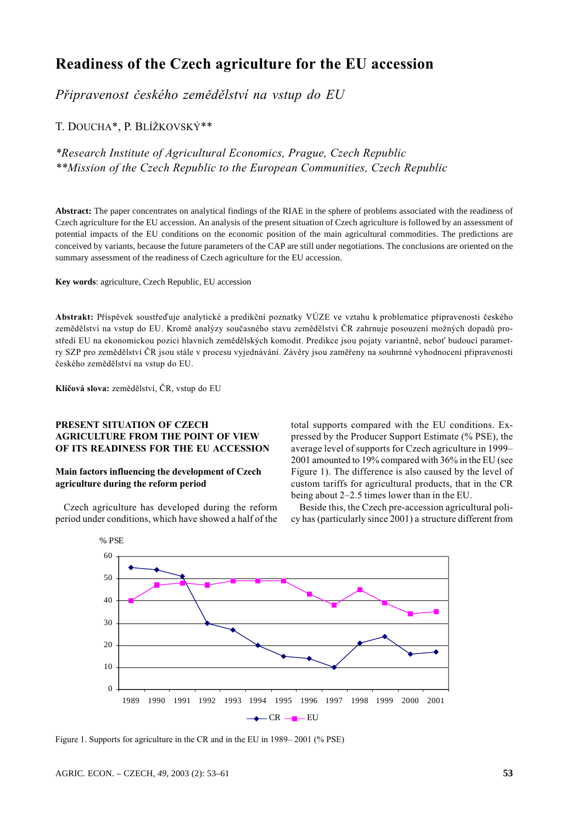# Readiness of the Czech agriculture for the EU accession

Připravenost českého zemědělství na vstup do EU

T. DOUCHA\*, P. BLÍŽKOVSKÝ\*\*

\*Research Institute of Agricultural Economics, Prague, Czech Republic \*\*Mission of the Czech Republic to the European Communities, Czech Republic

Abstract: The paper concentrates on analytical findings of the RIAE in the sphere of problems associated with the readiness of Czech agriculture for the EU accession. An analysis of the present situation of Czech agriculture is followed by an assessment of potential impacts of the EU conditions on the economic position of the main agricultural commodities. The predictions are conceived by variants, because the future parameters of the CAP are still under negotiations. The conclusions are oriented on the summary assessment of the readiness of Czech agriculture for the EU accession.

Key words: agriculture, Czech Republic, EU accession

Abstrakt: Příspěvek soustřeďuje analytické a predikční poznatky VÚZE ve vztahu k problematice připravenosti českého zemědělství na vstup do EU. Kromě analýzy současného stavu zemědělství ČR zahrnuje posouzení možných dopadů prostředí EU na ekonomickou pozici hlavních zemědělských komodit. Predikce jsou pojaty variantně, neboť budoucí parametry SZP pro zemědělství ČR jsou stále v procesu vyjednávání. Závěry jsou zaměřeny na souhrnné vyhodnocení připravenosti českého zemědělství na vstup do EU.

Klíčová slova: zemědělství, ČR, vstup do EU

## PRESENT SITUATION OF CZECH **AGRICULTURE FROM THE POINT OF VIEW** OF ITS READINESS FOR THE EU ACCESSION

#### Main factors influencing the development of Czech agriculture during the reform period

Czech agriculture has developed during the reform period under conditions, which have showed a half of the total supports compared with the EU conditions. Expressed by the Producer Support Estimate (% PSE), the average level of supports for Czech agriculture in 1999-2001 amounted to 19% compared with 36% in the EU (see Figure 1). The difference is also caused by the level of custom tariffs for agricultural products, that in the CR being about  $2-2.5$  times lower than in the EU.

Beside this, the Czech pre-accession agricultural policy has (particularly since 2001) a structure different from



Figure 1. Supports for agriculture in the CR and in the EU in 1989–2001 (% PSE)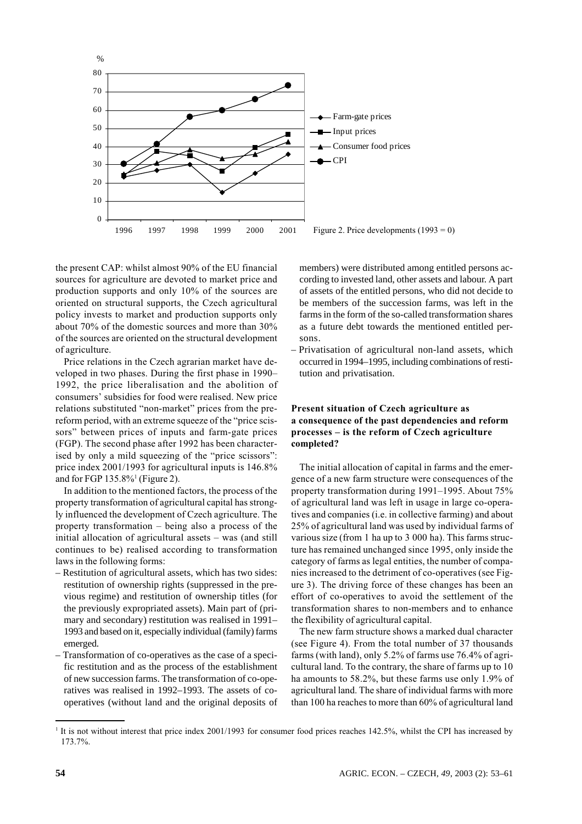

the present CAP: whilst almost 90% of the EU financial sources for agriculture are devoted to market price and production supports and only 10% of the sources are oriented on structural supports, the Czech agricultural policy invests to market and production supports only about 70% of the domestic sources and more than  $30\%$ of the sources are oriented on the structural development of agriculture.

Price relations in the Czech agrarian market have developed in two phases. During the first phase in 1990– 1992, the price liberalisation and the abolition of consumers' subsidies for food were realised. New price relations substituted "non-market" prices from the prereform period, with an extreme squeeze of the "price scissors" between prices of inputs and farm-gate prices (FGP). The second phase after 1992 has been characterised by only a mild squeezing of the "price scissors": price index  $2001/1993$  for agricultural inputs is  $146.8\%$ and for FGP  $135.8\%$ <sup>1</sup> (Figure 2).

In addition to the mentioned factors, the process of the property transformation of agricultural capital has strongly influenced the development of Czech agriculture. The property transformation – being also a process of the initial allocation of agricultural assets - was (and still continues to be) realised according to transformation laws in the following forms:

- Restitution of agricultural assets, which has two sides: restitution of ownership rights (suppressed in the previous regime) and restitution of ownership titles (for the previously expropriated assets). Main part of (primary and secondary) restitution was realised in 1991– 1993 and based on it, especially individual (family) farms emerged.
- Transformation of co-operatives as the case of a specific restitution and as the process of the establishment of new succession farms. The transformation of co-operatives was realised in 1992–1993. The assets of cooperatives (without land and the original deposits of

members) were distributed among entitled persons according to invested land, other assets and labour. A part of assets of the entitled persons, who did not decide to be members of the succession farms, was left in the farms in the form of the so-called transformation shares as a future debt towards the mentioned entitled persons.

– Privatisation of agricultural non-land assets, which occurred in 1994–1995, including combinations of restitution and privatisation.

### Present situation of Czech agriculture as a consequence of the past dependencies and reform processes - is the reform of Czech agriculture completed?

The initial allocation of capital in farms and the emergence of a new farm structure were consequences of the property transformation during 1991–1995. About 75% of agricultural land was left in usage in large co-operatives and companies (i.e. in collective farming) and about 25% of agricultural land was used by individual farms of various size (from 1 ha up to 3 000 ha). This farms structure has remained unchanged since 1995, only inside the category of farms as legal entities, the number of companies increased to the detriment of co-operatives (see Figure 3). The driving force of these changes has been an effort of co-operatives to avoid the settlement of the transformation shares to non-members and to enhance the flexibility of agricultural capital.

The new farm structure shows a marked dual character (see Figure 4). From the total number of 37 thousands farms (with land), only 5.2% of farms use 76.4% of agricultural land. To the contrary, the share of farms up to 10 ha amounts to  $58.2\%$ , but these farms use only  $1.9\%$  of agricultural land. The share of individual farms with more than  $100$  ha reaches to more than  $60\%$  of agricultural land

It is not without interest that price index  $2001/1993$  for consumer food prices reaches 142.5%, whilst the CPI has increased by 173.7%.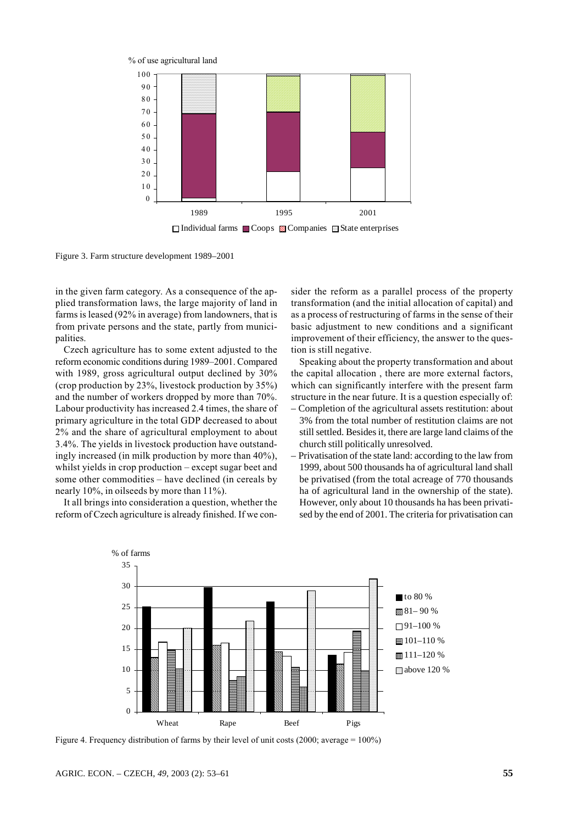

□ Individual farms ■ Coops ■ Companies ■ State enterprises

Figure 3. Farm structure development 1989-2001

in the given farm category. As a consequence of the applied transformation laws, the large majority of land in farms is leased (92% in average) from landowners, that is from private persons and the state, partly from municipalities.

Czech agriculture has to some extent adjusted to the reform economic conditions during 1989–2001. Compared with 1989, gross agricultural output declined by 30% (crop production by 23%, livestock production by  $35\%$ ) and the number of workers dropped by more than 70%. Labour productivity has increased 2.4 times, the share of primary agriculture in the total GDP decreased to about 2% and the share of agricultural employment to about 3.4%. The yields in livestock production have outstandingly increased (in milk production by more than 40%), whilst vields in crop production  $-\text{except}$  sugar beet and some other commodities – have declined (in cereals by nearly 10%, in oilseeds by more than  $11\%$ ).

It all brings into consideration a question, whether the reform of Czech agriculture is already finished. If we consider the reform as a parallel process of the property transformation (and the initial allocation of capital) and as a process of restructuring of farms in the sense of their basic adjustment to new conditions and a significant improvement of their efficiency, the answer to the question is still negative.

Speaking about the property transformation and about the capital allocation, there are more external factors. which can significantly interfere with the present farm structure in the near future. It is a question especially of:

- Completion of the agricultural assets restitution: about 3% from the total number of restitution claims are not still settled. Besides it, there are large land claims of the church still politically unresolved.
- Privatisation of the state land: according to the law from 1999, about 500 thousands ha of agricultural land shall be privatised (from the total acreage of 770 thousands ha of agricultural land in the ownership of the state). However, only about 10 thousands ha has been privatised by the end of 2001. The criteria for privatisation can



Figure 4. Frequency distribution of farms by their level of unit costs (2000; average =  $100\%$ )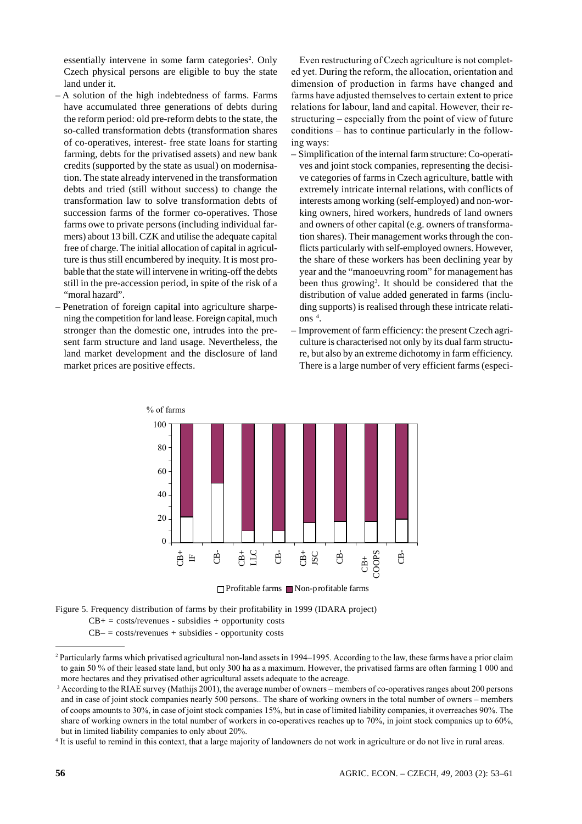essentially intervene in some farm categories<sup>2</sup>. Only Czech physical persons are eligible to buy the state land under it.

- A solution of the high indebtedness of farms. Farms have accumulated three generations of debts during the reform period: old pre-reform debts to the state, the so-called transformation debts (transformation shares of co-operatives, interest- free state loans for starting farming, debts for the privatised assets) and new bank credits (supported by the state as usual) on modernisation. The state already intervened in the transformation debts and tried (still without success) to change the transformation law to solve transformation debts of succession farms of the former co-operatives. Those farms owe to private persons (including individual farmers) about 13 bill. CZK and utilise the adequate capital free of charge. The initial allocation of capital in agriculture is thus still encumbered by inequity. It is most probable that the state will intervene in writing-off the debts still in the pre-accession period, in spite of the risk of a "moral hazard".
- Penetration of foreign capital into agriculture sharpening the competition for land lease. Foreign capital, much stronger than the domestic one, intrudes into the present farm structure and land usage. Nevertheless, the land market development and the disclosure of land market prices are positive effects.

Even restructuring of Czech agriculture is not completed yet. During the reform, the allocation, orientation and dimension of production in farms have changed and farms have adjusted themselves to certain extent to price relations for labour, land and capital. However, their restructuring – especially from the point of view of future conditions – has to continue particularly in the following ways:

- Simplification of the internal farm structure: Co-operatives and joint stock companies, representing the decisive categories of farms in Czech agriculture, battle with extremely intricate internal relations, with conflicts of interests among working (self-employed) and non-working owners, hired workers, hundreds of land owners and owners of other capital (e.g. owners of transformation shares). Their management works through the conflicts particularly with self-employed owners. However, the share of these workers has been declining year by year and the "manoeuvring room" for management has been thus growing<sup>3</sup>. It should be considered that the distribution of value added generated in farms (including supports) is realised through these intricate relations 4 .
- Improvement of farm efficiency: the present Czech agriculture is characterised not only by its dual farm structure, but also by an extreme dichotomy in farm efficiency. There is a large number of very efficient farms (especi-





Figure 5. Frequency distribution of farms by their profitability in 1999 (IDARA project)

 $CB+ = \cos\frac{t}{\cos\theta}$  - subsidies + opportunity costs

<sup>&</sup>lt;sup>2</sup> Particularly farms which privatised agricultural non-land assets in 1994–1995. According to the law, these farms have a prior claim to gain 50 % of their leased state land, but only 300 ha as a maximum. However, the privatised farms are often farming 1 000 and more hectares and they privatised other agricultural assets adequate to the acreage.

<sup>&</sup>lt;sup>3</sup> According to the RIAE survey (Mathijs 2001), the average number of owners – members of co-operatives ranges about 200 persons and in case of joint stock companies nearly 500 persons.. The share of working owners in the total number of owners – members of coops amounts to 30%, in case of joint stock companies 15%, but in case of limited liability companies, it overreaches 90%. The share of working owners in the total number of workers in co-operatives reaches up to 70%, in joint stock companies up to 60%, but in limited liability companies to only about 20%.

<sup>&</sup>lt;sup>4</sup> It is useful to remind in this context, that a large majority of landowners do not work in agriculture or do not live in rural areas.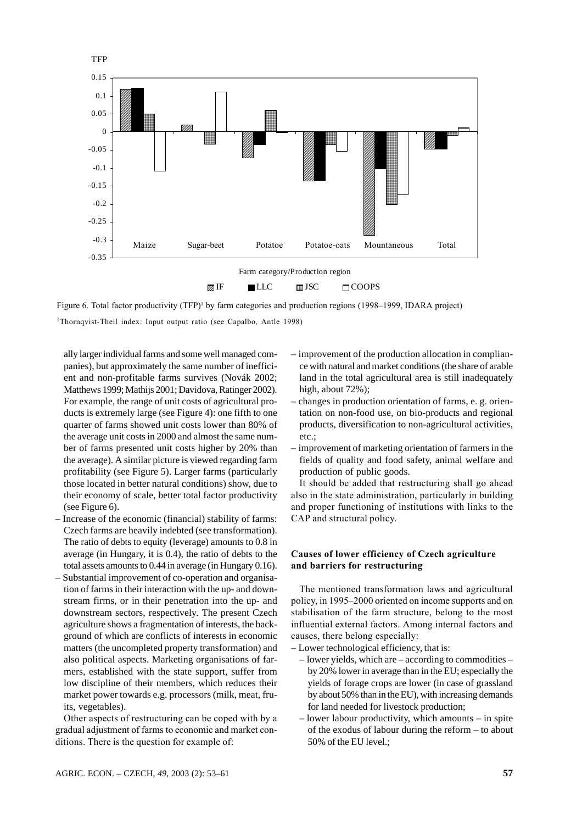

Figure 6. Total factor productivity (TFP)<sup>1</sup> by farm categories and production regions (1998–1999, IDARA project) <sup>1</sup>Thornqvist-Theil index: Input output ratio (see Capalbo, Antle 1998)

ally larger individual farms and some well managed companies), but approximately the same number of inefficient and non-profitable farms survives (Novák 2002; Matthews 1999; Mathijs 2001; Davidova, Ratinger 2002). For example, the range of unit costs of agricultural products is extremely large (see Figure 4): one fifth to one quarter of farms showed unit costs lower than 80% of the average unit costs in 2000 and almost the same number of farms presented unit costs higher by 20% than the average). A similar picture is viewed regarding farm profitability (see Figure 5). Larger farms (particularly those located in better natural conditions) show, due to their economy of scale, better total factor productivity (see Figure 6).

- Increase of the economic (financial) stability of farms: Czech farms are heavily indebted (see transformation). The ratio of debts to equity (leverage) amounts to 0.8 in average (in Hungary, it is 0.4), the ratio of debts to the total assets amounts to 0.44 in average (in Hungary 0.16).
- Substantial improvement of co-operation and organisation of farms in their interaction with the up- and downstream firms, or in their penetration into the up- and downstream sectors, respectively. The present Czech agriculture shows a fragmentation of interests, the background of which are conflicts of interests in economic matters (the uncompleted property transformation) and also political aspects. Marketing organisations of farmers, established with the state support, suffer from low discipline of their members, which reduces their market power towards e.g. processors (milk, meat, fruits, vegetables).

Other aspects of restructuring can be coped with by a gradual adjustment of farms to economic and market conditions. There is the question for example of:

- improvement of the production allocation in compliance with natural and market conditions (the share of arable land in the total agricultural area is still inadequately high, about 72%);
- changes in production orientation of farms, e. g. orientation on non-food use, on bio-products and regional products, diversification to non-agricultural activities, etc.;
- improvement of marketing orientation of farmers in the fields of quality and food safety, animal welfare and production of public goods.

It should be added that restructuring shall go ahead also in the state administration, particularly in building and proper functioning of institutions with links to the CAP and structural policy.

#### Causes of lower efficiency of Czech agriculture and barriers for restructuring

The mentioned transformation laws and agricultural policy, in 1995–2000 oriented on income supports and on stabilisation of the farm structure, belong to the most influential external factors. Among internal factors and causes, there belong especially:

- Lower technological efficiency, that is:
	- lower yields, which are according to commodities by 20% lower in average than in the EU; especially the yields of forage crops are lower (in case of grassland by about 50% than in the EU), with increasing demands for land needed for livestock production;
	- lower labour productivity, which amounts in spite of the exodus of labour during the reform – to about 50% of the EU level.;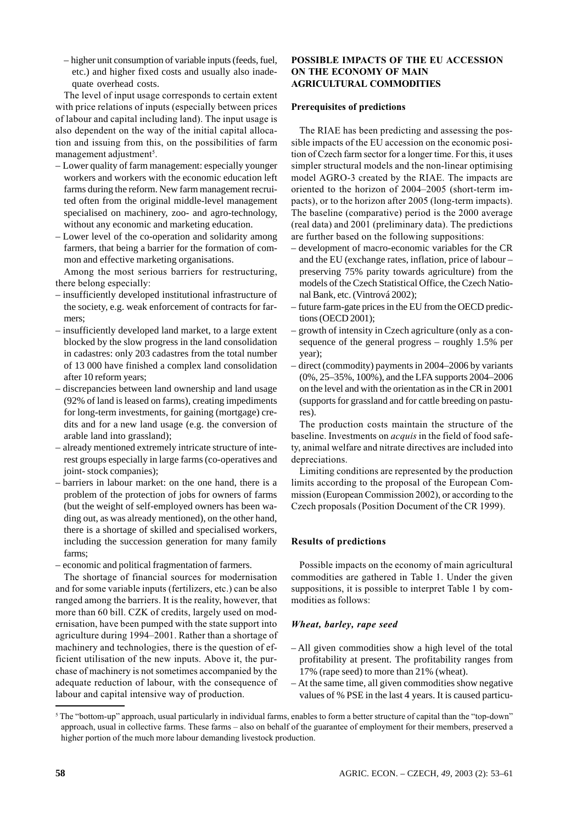– higher unit consumption of variable inputs (feeds, fuel, etc.) and higher fixed costs and usually also inadequate overhead costs.

The level of input usage corresponds to certain extent with price relations of inputs (especially between prices of labour and capital including land). The input usage is also dependent on the way of the initial capital allocation and issuing from this, on the possibilities of farm management adjustment<sup>5</sup>.

- Lower quality of farm management: especially younger workers and workers with the economic education left farms during the reform. New farm management recruited often from the original middle-level management specialised on machinery, zoo- and agro-technology, without any economic and marketing education.
- Lower level of the co-operation and solidarity among farmers, that being a barrier for the formation of common and effective marketing organisations.

Among the most serious barriers for restructuring, there belong especially:

- insufficiently developed institutional infrastructure of the society, e.g. weak enforcement of contracts for farmers;
- insufficiently developed land market, to a large extent blocked by the slow progress in the land consolidation in cadastres: only 203 cadastres from the total number of 13 000 have finished a complex land consolidation after 10 reform years;
- discrepancies between land ownership and land usage (92% of land is leased on farms), creating impediments for long-term investments, for gaining (mortgage) credits and for a new land usage (e.g. the conversion of arable land into grassland);
- already mentioned extremely intricate structure of interest groups especially in large farms (co-operatives and joint- stock companies);
- barriers in labour market: on the one hand, there is a problem of the protection of jobs for owners of farms (but the weight of self-employed owners has been wading out, as was already mentioned), on the other hand, there is a shortage of skilled and specialised workers, including the succession generation for many family farms;
- economic and political fragmentation of farmers.

The shortage of financial sources for modernisation and for some variable inputs (fertilizers, etc.) can be also ranged among the barriers. It is the reality, however, that more than 60 bill. CZK of credits, largely used on modernisation, have been pumped with the state support into agriculture during 1994–2001. Rather than a shortage of machinery and technologies, there is the question of efficient utilisation of the new inputs. Above it, the purchase of machinery is not sometimes accompanied by the adequate reduction of labour, with the consequence of labour and capital intensive way of production.

## POSSIBLE IMPACTS OF THE EU ACCESSION ON THE ECONOMY OF MAIN AGRICULTURAL COMMODITIES

### Prerequisites of predictions

The RIAE has been predicting and assessing the possible impacts of the EU accession on the economic position of Czech farm sector for a longer time. For this, it uses simpler structural models and the non-linear optimising model AGRO-3 created by the RIAE. The impacts are oriented to the horizon of 2004–2005 (short-term impacts), or to the horizon after 2005 (long-term impacts). The baseline (comparative) period is the 2000 average (real data) and 2001 (preliminary data). The predictions are further based on the following suppositions:

- development of macro-economic variables for the CR and the EU (exchange rates, inflation, price of labour – preserving 75% parity towards agriculture) from the models of the Czech Statistical Office, the Czech National Bank, etc. (Vintrová 2002);
- future farm-gate prices in the EU from the OECD predictions (OECD 2001);
- growth of intensity in Czech agriculture (only as a consequence of the general progress – roughly 1.5% per year);
- direct (commodity) payments in 2004–2006 by variants (0%, 25–35%, 100%), and the LFA supports 2004–2006 on the level and with the orientation as in the CR in 2001 (supports for grassland and for cattle breeding on pastures).

The production costs maintain the structure of the baseline. Investments on *acquis* in the field of food safety, animal welfare and nitrate directives are included into depreciations.

Limiting conditions are represented by the production limits according to the proposal of the European Commission (European Commission 2002), or according to the Czech proposals (Position Document of the CR 1999).

### **Results of predictions**

Possible impacts on the economy of main agricultural commodities are gathered in Table 1. Under the given suppositions, it is possible to interpret Table 1 by commodities as follows:

# Wheat, barley, rape seed

- All given commodities show a high level of the total profitability at present. The profitability ranges from 17% (rape seed) to more than 21% (wheat).
- At the same time, all given commodities show negative values of % PSE in the last 4 years. It is caused particu-

<sup>&</sup>lt;sup>5</sup> The "bottom-up" approach, usual particularly in individual farms, enables to form a better structure of capital than the "top-down" approach, usual in collective farms. These farms – also on behalf of the guarantee of employment for their members, preserved a higher portion of the much more labour demanding livestock production.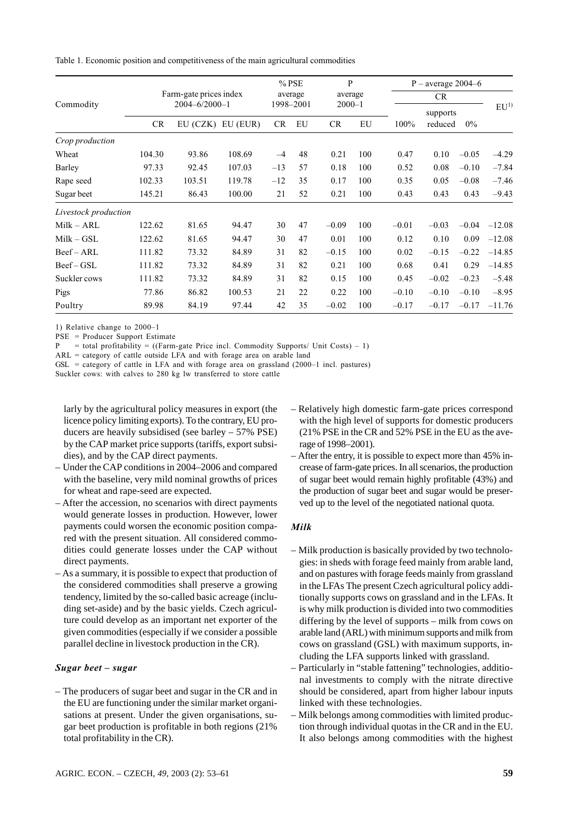Table 1. Economic position and competitiveness of the main agricultural commodities

| Commodity            | Farm-gate prices index<br>$2004 - 6/2000 - 1$ |        |                   | $%$ PSE<br>average<br>1998-2001 |    |         | P<br>average<br>$2000 - 1$ |         | $P$ – average 2004–6 |         |                 |  |
|----------------------|-----------------------------------------------|--------|-------------------|---------------------------------|----|---------|----------------------------|---------|----------------------|---------|-----------------|--|
|                      |                                               |        |                   |                                 |    |         |                            |         | CR                   |         |                 |  |
|                      |                                               |        |                   |                                 |    |         |                            |         | supports             |         | EU <sup>1</sup> |  |
|                      | <b>CR</b>                                     |        | EU (CZK) EU (EUR) | CR                              | EU | CR.     | EU                         | 100%    | reduced              | $0\%$   |                 |  |
| Crop production      |                                               |        |                   |                                 |    |         |                            |         |                      |         |                 |  |
| Wheat                | 104.30                                        | 93.86  | 108.69            | $-4$                            | 48 | 0.21    | 100                        | 0.47    | 0.10                 | $-0.05$ | $-4.29$         |  |
| Barley               | 97.33                                         | 92.45  | 107.03            | $-13$                           | 57 | 0.18    | 100                        | 0.52    | 0.08                 | $-0.10$ | $-7.84$         |  |
| Rape seed            | 102.33                                        | 103.51 | 119.78            | $-12$                           | 35 | 0.17    | 100                        | 0.35    | 0.05                 | $-0.08$ | $-7.46$         |  |
| Sugar beet           | 145.21                                        | 86.43  | 100.00            | 21                              | 52 | 0.21    | 100                        | 0.43    | 0.43                 | 0.43    | $-9.43$         |  |
| Livestock production |                                               |        |                   |                                 |    |         |                            |         |                      |         |                 |  |
| $Milk - ARL$         | 122.62                                        | 81.65  | 94.47             | 30                              | 47 | $-0.09$ | 100                        | $-0.01$ | $-0.03$              | $-0.04$ | $-12.08$        |  |
| $Milk - GSL$         | 122.62                                        | 81.65  | 94.47             | 30                              | 47 | 0.01    | 100                        | 0.12    | 0.10                 | 0.09    | $-12.08$        |  |
| Beef-ARL             | 111.82                                        | 73.32  | 84.89             | 31                              | 82 | $-0.15$ | 100                        | 0.02    | $-0.15$              | $-0.22$ | $-14.85$        |  |
| $Beef-GSL$           | 111.82                                        | 73.32  | 84.89             | 31                              | 82 | 0.21    | 100                        | 0.68    | 0.41                 | 0.29    | $-14.85$        |  |
| Suckler cows         | 111.82                                        | 73.32  | 84.89             | 31                              | 82 | 0.15    | 100                        | 0.45    | $-0.02$              | $-0.23$ | $-5.48$         |  |
| Pigs                 | 77.86                                         | 86.82  | 100.53            | 21                              | 22 | 0.22    | 100                        | $-0.10$ | $-0.10$              | $-0.10$ | $-8.95$         |  |
| Poultry              | 89.98                                         | 84.19  | 97.44             | 42                              | 35 | $-0.02$ | 100                        | $-0.17$ | $-0.17$              | $-0.17$ | $-11.76$        |  |

1) Relative change to  $2000-1$ 

PSE = Producer Support Estimate

P = total profitability = ((Farm-gate Price incl. Commodity Supports/ Unit Costs) - 1)

 $ARL = category of cattle outside LFA and with forage area on arable land$ 

 $GSL =$  category of cattle in LFA and with forage area on grassland  $(2000-1)$  incl. pastures)

Suckler cows: with calves to 280 kg lw transferred to store cattle

larly by the agricultural policy measures in export (the licence policy limiting exports). To the contrary, EU producers are heavily subsidised (see barley – 57% PSE) by the CAP market price supports (tariffs, export subsidies), and by the CAP direct payments.

- Under the CAP conditions in 2004–2006 and compared with the baseline, very mild nominal growths of prices for wheat and rape-seed are expected.
- After the accession, no scenarios with direct payments would generate losses in production. However, lower payments could worsen the economic position compared with the present situation. All considered commodities could generate losses under the CAP without direct payments.
- As a summary, it is possible to expect that production of the considered commodities shall preserve a growing tendency, limited by the so-called basic acreage (including set-aside) and by the basic yields. Czech agriculture could develop as an important net exporter of the given commodities (especially if we consider a possible parallel decline in livestock production in the CR).

#### Sugar beet - sugar

– The producers of sugar beet and sugar in the CR and in the EU are functioning under the similar market organisations at present. Under the given organisations, sugar beet production is profitable in both regions (21% total profitability in the CR).

- Relatively high domestic farm-gate prices correspond with the high level of supports for domestic producers (21% PSE in the CR and 52% PSE in the EU as the average of 1998–2001).
- After the entry, it is possible to expect more than 45% increase of farm-gate prices. In all scenarios, the production of sugar beet would remain highly profitable (43%) and the production of sugar beet and sugar would be preserved up to the level of the negotiated national quota.

#### Milk

- Milk production is basically provided by two technologies: in sheds with forage feed mainly from arable land, and on pastures with forage feeds mainly from grassland in the LFAs The present Czech agricultural policy additionally supports cows on grassland and in the LFAs. It is why milk production is divided into two commodities differing by the level of supports – milk from cows on arable land (ARL) with minimum supports and milk from cows on grassland (GSL) with maximum supports, including the LFA supports linked with grassland.
- Particularly in "stable fattening" technologies, additional investments to comply with the nitrate directive should be considered, apart from higher labour inputs linked with these technologies.
- Milk belongs among commodities with limited production through individual quotas in the CR and in the EU. It also belongs among commodities with the highest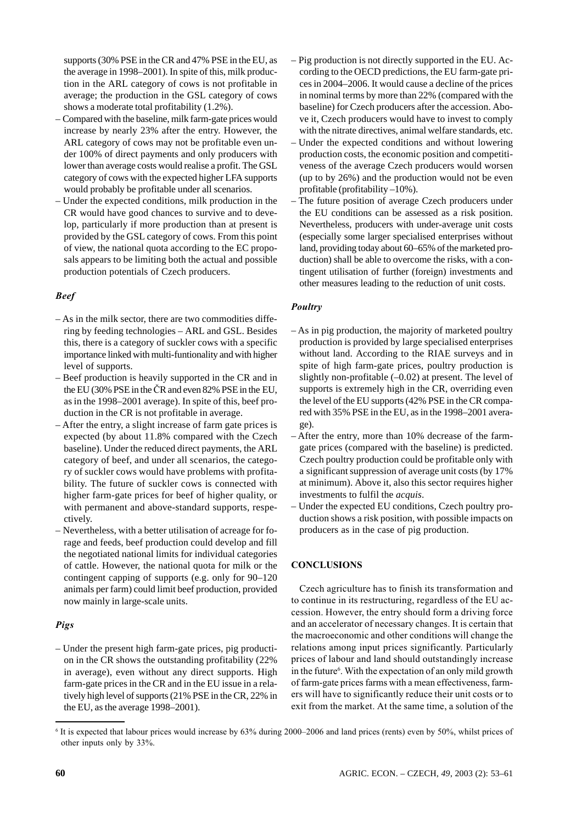supports (30% PSE in the CR and 47% PSE in the EU, as the average in 1998–2001). In spite of this, milk production in the ARL category of cows is not profitable in average; the production in the GSL category of cows shows a moderate total profitability (1.2%).

- Compared with the baseline, milk farm-gate prices would increase by nearly 23% after the entry. However, the ARL category of cows may not be profitable even under 100% of direct payments and only producers with lower than average costs would realise a profit. The GSL category of cows with the expected higher LFA supports would probably be profitable under all scenarios.
- Under the expected conditions, milk production in the CR would have good chances to survive and to develop, particularly if more production than at present is provided by the GSL category of cows. From this point of view, the national quota according to the EC proposals appears to be limiting both the actual and possible production potentials of Czech producers.

## **Beef**

- As in the milk sector, there are two commodities differing by feeding technologies – ARL and GSL. Besides this, there is a category of suckler cows with a specific importance linked with multi-funtionality and with higher level of supports.
- Beef production is heavily supported in the CR and in the EU (30% PSE in the  $\rm \check{C}R$  and even 82% PSE in the EU, as in the 1998–2001 average). In spite of this, beef production in the CR is not profitable in average.
- After the entry, a slight increase of farm gate prices is expected (by about 11.8% compared with the Czech baseline). Under the reduced direct payments, the ARL category of beef, and under all scenarios, the category of suckler cows would have problems with profitability. The future of suckler cows is connected with higher farm-gate prices for beef of higher quality, or with permanent and above-standard supports, respectively.
- Nevertheless, with a better utilisation of acreage for forage and feeds, beef production could develop and fill the negotiated national limits for individual categories of cattle. However, the national quota for milk or the contingent capping of supports (e.g. only for 90–120 animals per farm) could limit beef production, provided now mainly in large-scale units.

# **Pigs**

– Under the present high farm-gate prices, pig production in the CR shows the outstanding profitability (22% in average), even without any direct supports. High farm-gate prices in the CR and in the EU issue in a relatively high level of supports (21% PSE in the CR, 22% in the EU, as the average 1998–2001).

- Pig production is not directly supported in the EU. According to the OECD predictions, the EU farm-gate prices in 2004–2006. It would cause a decline of the prices in nominal terms by more than 22% (compared with the baseline) for Czech producers after the accession. Above it, Czech producers would have to invest to comply with the nitrate directives, animal welfare standards, etc.
- Under the expected conditions and without lowering production costs, the economic position and competitiveness of the average Czech producers would worsen (up to by 26%) and the production would not be even profitable (profitability –10%).
- The future position of average Czech producers under the EU conditions can be assessed as a risk position. Nevertheless, producers with under-average unit costs (especially some larger specialised enterprises without land, providing today about 60–65% of the marketed production) shall be able to overcome the risks, with a contingent utilisation of further (foreign) investments and other measures leading to the reduction of unit costs.

## Poultry

- As in pig production, the majority of marketed poultry production is provided by large specialised enterprises without land. According to the RIAE surveys and in spite of high farm-gate prices, poultry production is slightly non-profitable  $(-0.02)$  at present. The level of supports is extremely high in the CR, overriding even the level of the EU supports (42% PSE in the CR compared with 35% PSE in the EU, as in the 1998–2001 average).
- After the entry, more than 10% decrease of the farmgate prices (compared with the baseline) is predicted. Czech poultry production could be profitable only with a significant suppression of average unit costs (by 17% at minimum). Above it, also this sector requires higher investments to fulfil the *acquis*.
- Under the expected EU conditions, Czech poultry production shows a risk position, with possible impacts on producers as in the case of pig production.

# **CONCLUSIONS**

Czech agriculture has to finish its transformation and to continue in its restructuring, regardless of the EU accession. However, the entry should form a driving force and an accelerator of necessary changes. It is certain that the macroeconomic and other conditions will change the relations among input prices significantly. Particularly prices of labour and land should outstandingly increase in the future<sup>6</sup>. With the expectation of an only mild growth of farm-gate prices farms with a mean effectiveness, farmers will have to significantly reduce their unit costs or to exit from the market. At the same time, a solution of the

It is expected that labour prices would increase by  $63\%$  during 2000–2006 and land prices (rents) even by  $50\%$ , whilst prices of other inputs only by 33%.